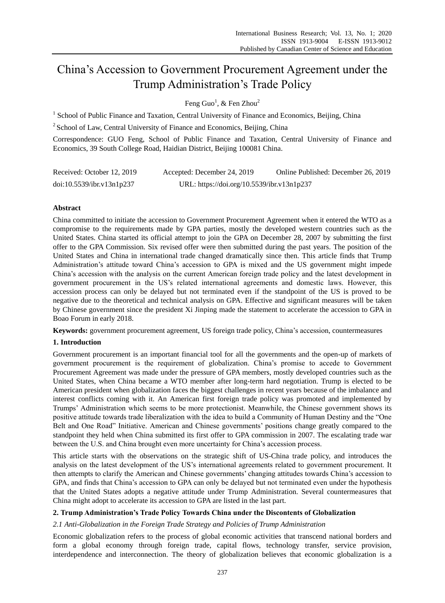# China's Accession to Government Procurement Agreement under the Trump Administration's Trade Policy

Feng Guo<sup>1</sup>, & Fen Zhou<sup>2</sup>

<sup>1</sup> School of Public Finance and Taxation, Central University of Finance and Economics, Beijing, China

<sup>2</sup> School of Law, Central University of Finance and Economics, Beijing, China

Correspondence: GUO Feng, School of Public Finance and Taxation, Central University of Finance and Economics, 39 South College Road, Haidian District, Beijing 100081 China.

| Received: October 12, 2019 | Accepted: December 24, 2019                | Online Published: December 26, 2019 |
|----------------------------|--------------------------------------------|-------------------------------------|
| doi:10.5539/ibr.v13n1p237  | URL: https://doi.org/10.5539/ibr.v13n1p237 |                                     |

# **Abstract**

China committed to initiate the accession to Government Procurement Agreement when it entered the WTO as a compromise to the requirements made by GPA parties, mostly the developed western countries such as the United States. China started its official attempt to join the GPA on December 28, 2007 by submitting the first offer to the GPA Commission. Six revised offer were then submitted during the past years. The position of the United States and China in international trade changed dramatically since then. This article finds that Trump Administration's attitude toward China's accession to GPA is mixed and the US government might impede China's accession with the analysis on the current American foreign trade policy and the latest development in government procurement in the US's related international agreements and domestic laws. However, this accession process can only be delayed but not terminated even if the standpoint of the US is proved to be negative due to the theoretical and technical analysis on GPA. Effective and significant measures will be taken by Chinese government since the president Xi Jinping made the statement to accelerate the accession to GPA in Boao Forum in early 2018.

**Keywords:** government procurement agreement, US foreign trade policy, China's accession, countermeasures

# **1. Introduction**

Government procurement is an important financial tool for all the governments and the open-up of markets of government procurement is the requirement of globalization. China's promise to accede to Government Procurement Agreement was made under the pressure of GPA members, mostly developed countries such as the United States, when China became a WTO member after long-term hard negotiation. Trump is elected to be American president when globalization faces the biggest challenges in recent years because of the imbalance and interest conflicts coming with it. An American first foreign trade policy was promoted and implemented by Trumps' Administration which seems to be more protectionist. Meanwhile, the Chinese government shows its positive attitude towards trade liberalization with the idea to build a Community of Human Destiny and the "One Belt and One Road" Initiative. American and Chinese governments' positions change greatly compared to the standpoint they held when China submitted its first offer to GPA commission in 2007. The escalating trade war between the U.S. and China brought even more uncertainty for China's accession process.

This article starts with the observations on the strategic shift of US-China trade policy, and introduces the analysis on the latest development of the US's international agreements related to government procurement. It then attempts to clarify the American and Chinese governments' changing attitudes towards China's accession to GPA, and finds that China's accession to GPA can only be delayed but not terminated even under the hypothesis that the United States adopts a negative attitude under Trump Administration. Several countermeasures that China might adopt to accelerate its accession to GPA are listed in the last part.

## **2. Trump Administration's Trade Policy Towards China under the Discontents of Globalization**

## *2.1 Anti-Globalization in the Foreign Trade Strategy and Policies of Trump Administration*

Economic globalization refers to the process of global economic activities that transcend national borders and form a global economy through foreign trade, capital flows, technology transfer, service provision, interdependence and interconnection. The theory of globalization believes that economic globalization is a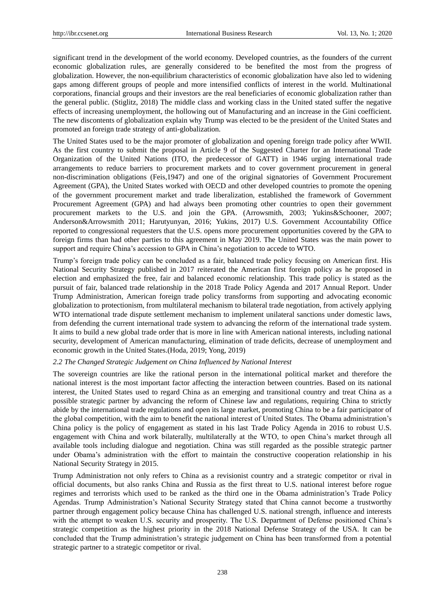significant trend in the development of the world economy. Developed countries, as the founders of the current economic globalization rules, are generally considered to be benefited the most from the progress of globalization. However, the non-equilibrium characteristics of economic globalization have also led to widening gaps among different groups of people and more intensified conflicts of interest in the world. Multinational corporations, financial groups and their investors are the real beneficiaries of economic globalization rather than the general public. (Stiglitz, 2018) The middle class and working class in the United stated suffer the negative effects of increasing unemployment, the hollowing out of Manufacturing and an increase in the Gini coefficient. The new discontents of globalization explain why Trump was elected to be the president of the United States and promoted an foreign trade strategy of anti-globalization.

The United States used to be the major promoter of globalization and opening foreign trade policy after WWII. As the first country to submit the proposal in Article 9 of the Suggested Charter for an International Trade Organization of the United Nations (ITO, the predecessor of GATT) in 1946 urging international trade arrangements to reduce barriers to procurement markets and to cover government procurement in general non-discrimination obligations (Feis,1947) and one of the original signatories of Government Procurement Agreement (GPA), the United States worked with OECD and other developed countries to promote the opening of the government procurement market and trade liberalization, established the framework of Government Procurement Agreement (GPA) and had always been promoting other countries to open their government procurement markets to the U.S. and join the GPA. (Arrowsmith, 2003; Yukins&Schooner, 2007; Anderson&Arrowsmith 2011; Harutyunyan, 2016; Yukins, 2017) U.S. Government Accountability Office reported to congressional requesters that the U.S. opens more procurement opportunities covered by the GPA to foreign firms than had other parties to this agreement in May 2019. The United States was the main power to support and require China's accession to GPA in China's negotiation to accede to WTO.

Trump's foreign trade policy can be concluded as a fair, balanced trade policy focusing on American first. His National Security Strategy published in 2017 reiterated the American first foreign policy as he proposed in election and emphasized the free, fair and balanced economic relationship. This trade policy is stated as the pursuit of fair, balanced trade relationship in the 2018 Trade Policy Agenda and 2017 Annual Report. Under Trump Administration, American foreign trade policy transforms from supporting and advocating economic globalization to protectionism, from multilateral mechanism to bilateral trade negotiation, from actively applying WTO international trade dispute settlement mechanism to implement unilateral sanctions under domestic laws, from defending the current international trade system to advancing the reform of the international trade system. It aims to build a new global trade order that is more in line with American national interests, including national security, development of American manufacturing, elimination of trade deficits, decrease of unemployment and economic growth in the United States.(Hoda, 2019; Yong, 2019)

### *2.2 The Changed Strategic Judgement on China Influenced by National Interest*

The sovereign countries are like the rational person in the international political market and therefore the national interest is the most important factor affecting the interaction between countries. Based on its national interest, the United States used to regard China as an emerging and transitional country and treat China as a possible strategic partner by advancing the reform of Chinese law and regulations, requiring China to strictly abide by the international trade regulations and open its large market, promoting China to be a fair participator of the global competition, with the aim to benefit the national interest of United States. The Obama administration's China policy is the policy of engagement as stated in his last Trade Policy Agenda in 2016 to robust U.S. engagement with China and work bilaterally, multilaterally at the WTO, to open China's market through all available tools including dialogue and negotiation. China was still regarded as the possible strategic partner under Obama's administration with the effort to maintain the constructive cooperation relationship in his National Security Strategy in 2015.

Trump Administration not only refers to China as a revisionist country and a strategic competitor or rival in official documents, but also ranks China and Russia as the first threat to U.S. national interest before rogue regimes and terrorists which used to be ranked as the third one in the Obama administration's Trade Policy Agendas. Trump Administration's National Security Strategy stated that China cannot become a trustworthy partner through engagement policy because China has challenged U.S. national strength, influence and interests with the attempt to weaken U.S. security and prosperity. The U.S. Department of Defense positioned China's strategic competition as the highest priority in the 2018 National Defense Strategy of the USA. It can be concluded that the Trump administration's strategic judgement on China has been transformed from a potential strategic partner to a strategic competitor or rival.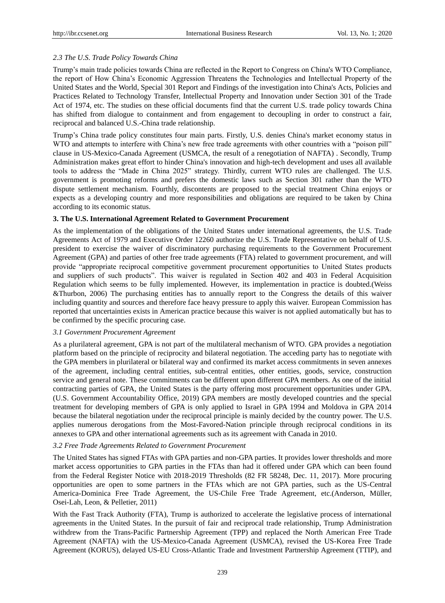## *2.3 The U.S. Trade Policy Towards China*

Trump's main trade policies towards China are reflected in the Report to Congress on China's WTO Compliance, the report of How China's Economic Aggression Threatens the Technologies and Intellectual Property of the United States and the World, Special 301 Report and Findings of the investigation into China's Acts, Policies and Practices Related to Technology Transfer, Intellectual Property and Innovation under Section 301 of the Trade Act of 1974, etc. The studies on these official documents find that the current U.S. trade policy towards China has shifted from dialogue to containment and from engagement to decoupling in order to construct a fair, reciprocal and balanced U.S.-China trade relationship.

Trump's China trade policy constitutes four main parts. Firstly, U.S. denies China's market economy status in WTO and attempts to interfere with China's new free trade agreements with other countries with a "poison pill" clause in US-Mexico-Canada Agreement (USMCA, the result of a renegotiation of NAFTA) . Secondly, Trump Administration makes great effort to hinder China's innovation and high-tech development and uses all available tools to address the "Made in China 2025" strategy. Thirdly, current WTO rules are challenged. The U.S. government is promoting reforms and prefers the domestic laws such as Section 301 rather than the WTO dispute settlement mechanism. Fourthly, discontents are proposed to the special treatment China enjoys or expects as a developing country and more responsibilities and obligations are required to be taken by China according to its economic status.

#### **3. The U.S. International Agreement Related to Government Procurement**

As the implementation of the obligations of the United States under international agreements, the U.S. Trade Agreements Act of 1979 and Executive Order 12260 authorize the U.S. Trade Representative on behalf of U.S. president to exercise the waiver of discriminatory purchasing requirements to the Government Procurement Agreement (GPA) and parties of other free trade agreements (FTA) related to government procurement, and will provide "appropriate reciprocal competitive government procurement opportunities to United States products and suppliers of such products". This waiver is regulated in Section 402 and 403 in Federal Acquisition Regulation which seems to be fully implemented. However, its implementation in practice is doubted.(Weiss &Thurbon, 2006) The purchasing entities has to annually report to the Congress the details of this waiver including quantity and sources and therefore face heavy pressure to apply this waiver. European Commission has reported that uncertainties exists in American practice because this waiver is not applied automatically but has to be confirmed by the specific procuring case.

#### *3.1 Government Procurement Agreement*

As a plurilateral agreement, GPA is not part of the multilateral mechanism of WTO. GPA provides a negotiation platform based on the principle of reciprocity and bilateral negotiation. The acceding party has to negotiate with the GPA members in plurilateral or bilateral way and confirmed its market access commitments in seven annexes of the agreement, including central entities, sub-central entities, other entities, goods, service, construction service and general note. These commitments can be different upon different GPA members. As one of the initial contracting parties of GPA, the United States is the party offering most procurement opportunities under GPA. (U.S. Government Accountability Office, 2019) GPA members are mostly developed countries and the special treatment for developing members of GPA is only applied to Israel in GPA 1994 and Moldova in GPA 2014 because the bilateral negotiation under the reciprocal principle is mainly decided by the country power. The U.S. applies numerous derogations from the Most-Favored-Nation principle through reciprocal conditions in its annexes to GPA and other international agreements such as its agreement with Canada in 2010.

## *3.2 Free Trade Agreements Related to Government Procurement*

The United States has signed FTAs with GPA parties and non-GPA parties. It provides lower thresholds and more market access opportunities to GPA parties in the FTAs than had it offered under GPA which can been found from the Federal Register Notice with 2018-2019 Thresholds (82 FR 58248, Dec. 11, 2017). More procuring opportunities are open to some partners in the FTAs which are not GPA parties, such as the US-Central America-Dominica Free Trade Agreement, the US-Chile Free Trade Agreement, etc.(Anderson, Müller, Osei-Lah, Leon, & Pelletier, 2011)

With the Fast Track Authority (FTA), Trump is authorized to accelerate the legislative process of international agreements in the United States. In the pursuit of fair and reciprocal trade relationship, Trump Administration withdrew from the Trans-Pacific Partnership Agreement (TPP) and replaced the North American Free Trade Agreement (NAFTA) with the US-Mexico-Canada Agreement (USMCA), revised the US-Korea Free Trade Agreement (KORUS), delayed US-EU Cross-Atlantic Trade and Investment Partnership Agreement (TTIP), and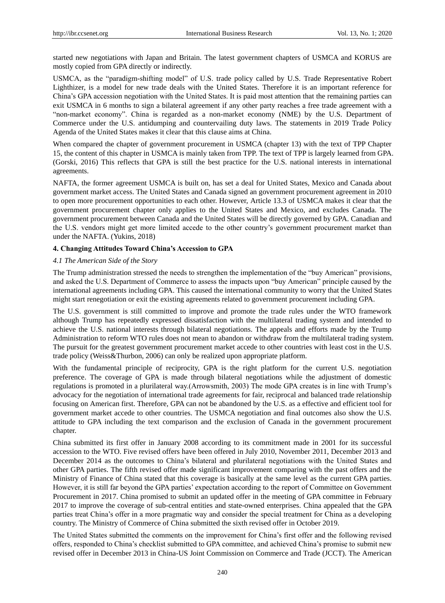started new negotiations with Japan and Britain. The latest government chapters of USMCA and KORUS are mostly copied from GPA directly or indirectly.

USMCA, as the "paradigm-shifting model" of U.S. trade policy called by U.S. Trade Representative Robert Lighthizer, is a model for new trade deals with the United States. Therefore it is an important reference for China's GPA accession negotiation with the United States. It is paid most attention that the remaining parties can exit USMCA in 6 months to sign a bilateral agreement if any other party reaches a free trade agreement with a "non-market economy". China is regarded as a non-market economy (NME) by the U.S. Department of Commerce under the U.S. antidumping and countervailing duty laws. The statements in 2019 Trade Policy Agenda of the United States makes it clear that this clause aims at China.

When compared the chapter of government procurement in USMCA (chapter 13) with the text of TPP Chapter 15, the content of this chapter in USMCA is mainly taken from TPP. The text of TPP is largely learned from GPA. (Gorski, 2016) This reflects that GPA is still the best practice for the U.S. national interests in international agreements.

NAFTA, the former agreement USMCA is built on, has set a deal for United States, Mexico and Canada about government market access. The United States and Canada signed an government procurement agreement in 2010 to open more procurement opportunities to each other. However, Article 13.3 of USMCA makes it clear that the government procurement chapter only applies to the United States and Mexico, and excludes Canada. The government procurement between Canada and the United States will be directly governed by GPA. Canadian and the U.S. vendors might get more limited accede to the other country's government procurement market than under the NAFTA. (Yukins, 2018)

#### **4. Changing Attitudes Toward China's Accession to GPA**

## *4.1 The American Side of the Story*

The Trump administration stressed the needs to strengthen the implementation of the "buy American" provisions, and asked the U.S. Department of Commerce to assess the impacts upon "buy American" principle caused by the international agreements including GPA. This caused the international community to worry that the United States might start renegotiation or exit the existing agreements related to government procurement including GPA.

The U.S. government is still committed to improve and promote the trade rules under the WTO framework although Trump has repeatedly expressed dissatisfaction with the multilateral trading system and intended to achieve the U.S. national interests through bilateral negotiations. The appeals and efforts made by the Trump Administration to reform WTO rules does not mean to abandon or withdraw from the multilateral trading system. The pursuit for the greatest government procurement market accede to other countries with least cost in the U.S. trade policy (Weiss&Thurbon, 2006) can only be realized upon appropriate platform.

With the fundamental principle of reciprocity, GPA is the right platform for the current U.S. negotiation preference. The coverage of GPA is made through bilateral negotiations while the adjustment of domestic regulations is promoted in a plurilateral way.(Arrowsmith, 2003) The mode GPA creates is in line with Trump's advocacy for the negotiation of international trade agreements for fair, reciprocal and balanced trade relationship focusing on American first. Therefore, GPA can not be abandoned by the U.S. as a effective and efficient tool for government market accede to other countries. The USMCA negotiation and final outcomes also show the U.S. attitude to GPA including the text comparison and the exclusion of Canada in the government procurement chapter.

China submitted its first offer in January 2008 according to its commitment made in 2001 for its successful accession to the WTO. Five revised offers have been offered in July 2010, November 2011, December 2013 and December 2014 as the outcomes to China's bilateral and plurilateral negotiations with the United States and other GPA parties. The fifth revised offer made significant improvement comparing with the past offers and the Ministry of Finance of China stated that this coverage is basically at the same level as the current GPA parties. However, it is still far beyond the GPA parties' expectation according to the report of Committee on Government Procurement in 2017. China promised to submit an updated offer in the meeting of GPA committee in February 2017 to improve the coverage of sub-central entities and state-owned enterprises. China appealed that the GPA parties treat China's offer in a more pragmatic way and consider the special treatment for China as a developing country. The Ministry of Commerce of China submitted the sixth revised offer in October 2019.

The United States submitted the comments on the improvement for China's first offer and the following revised offers, responded to China's checklist submitted to GPA committee, and achieved China's promise to submit new revised offer in December 2013 in China-US Joint Commission on Commerce and Trade (JCCT). The American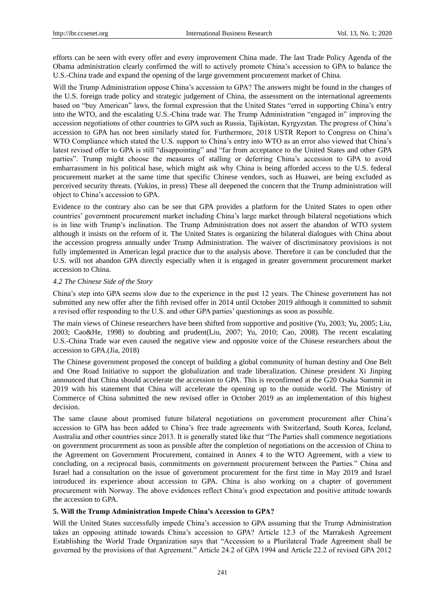efforts can be seen with every offer and every improvement China made. The last Trade Policy Agenda of the Obama administration clearly confirmed the will to actively promote China's accession to GPA to balance the U.S.-China trade and expand the opening of the large government procurement market of China.

Will the Trump Administration oppose China's accession to GPA? The answers might be found in the changes of the U.S. foreign trade policy and strategic judgement of China, the assessment on the international agreements based on "buy American" laws, the formal expression that the United States "erred in supporting China's entry into the WTO, and the escalating U.S.-China trade war. The Trump Administration "engaged in" improving the accession negotiations of other countries to GPA such as Russia, Tajikistan, Kyrgyzstan. The progress of China's accession to GPA has not been similarly stated for. Furthermore, 2018 USTR Report to Congress on China's WTO Compliance which stated the U.S. support to China's entry into WTO as an error also viewed that China's latest revised offer to GPA is still "disappointing" and "far from acceptance to the United States and other GPA parties". Trump might choose the measures of stalling or deferring China's accession to GPA to avoid embarrassment in his political base, which might ask why China is being afforded access to the U.S. federal procurement market at the same time that specific Chinese vendors, such as Huawei, are being excluded as perceived security threats. (Yukins, in press) These all deepened the concern that the Trump administration will object to China's accession to GPA.

Evidence to the contrary also can be see that GPA provides a platform for the United States to open other countries' government procurement market including China's large market through bilateral negotiations which is in line with Trump's inclination. The Trump Administration does not assert the abandon of WTO system although it insists on the reform of it. The United States is organizing the bilateral dialogues with China about the accession progress annually under Trump Administration. The waiver of discriminatory provisions is not fully implemented in American legal practice due to the analysis above. Therefore it can be concluded that the U.S. will not abandon GPA directly especially when it is engaged in greater government procurement market accession to China.

#### *4.2 The Chinese Side of the Story*

China's step into GPA seems slow due to the experience in the past 12 years. The Chinese government has not submitted any new offer after the fifth revised offer in 2014 until October 2019 although it committed to submit a revised offer responding to the U.S. and other GPA parties' questionings as soon as possible.

The main views of Chinese researchers have been shifted from supportive and positive (Yu, 2003; Yu, 2005; Liu, 2003; Cao&He, 1998) to doubting and prudent(Liu, 2007; Yu, 2010; Cao, 2008). The recent escalating U.S.-China Trade war even caused the negative view and opposite voice of the Chinese researchers about the accession to GPA.(Jia, 2018)

The Chinese government proposed the concept of building a global community of human destiny and One Belt and One Road Initiative to support the globalization and trade liberalization. Chinese president Xi Jinping announced that China should accelerate the accession to GPA. This is reconfirmed at the G20 Osaka Summit in 2019 with his statement that China will accelerate the opening up to the outside world. The Ministry of Commerce of China submitted the new revised offer in October 2019 as an implementation of this highest decision.

The same clause about promised future bilateral negotiations on government procurement after China's accession to GPA has been added to China's free trade agreements with Switzerland, South Korea, Iceland, Australia and other countries since 2013. It is generally stated like that "The Parties shall commence negotiations on government procurement as soon as possible after the completion of negotiations on the accession of China to the Agreement on Government Procurement, contained in Annex 4 to the WTO Agreement, with a view to concluding, on a reciprocal basis, commitments on government procurement between the Parties." China and Israel had a consultation on the issue of government procurement for the first time in May 2019 and Israel introduced its experience about accession to GPA. China is also working on a chapter of government procurement with Norway. The above evidences reflect China's good expectation and positive attitude towards the accession to GPA.

#### **5. Will the Trump Administration Impede China's Accession to GPA?**

Will the United States successfully impede China's accession to GPA assuming that the Trump Administration takes an opposing attitude towards China's accession to GPA? Article 12.3 of the Marrakesh Agreement Establishing the World Trade Organization says that "Accession to a Plurilateral Trade Agreement shall be governed by the provisions of that Agreement." Article 24.2 of GPA 1994 and Article 22.2 of revised GPA 2012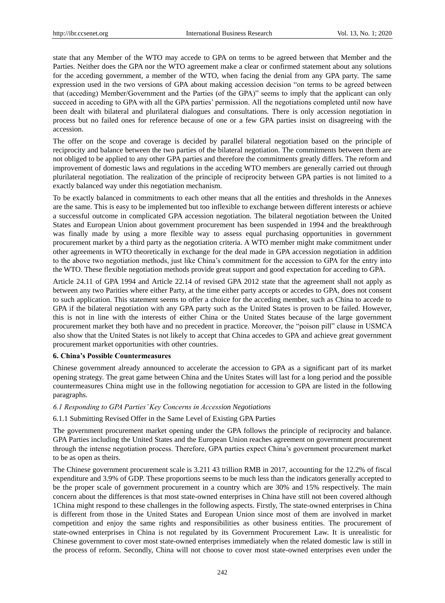state that any Member of the WTO may accede to GPA on terms to be agreed between that Member and the Parties. Neither does the GPA nor the WTO agreement make a clear or confirmed statement about any solutions for the acceding government, a member of the WTO, when facing the denial from any GPA party. The same expression used in the two versions of GPA about making accession decision "on terms to be agreed between that (acceding) Member/Government and the Parties (of the GPA)" seems to imply that the applicant can only succeed in acceding to GPA with all the GPA parties' permission. All the negotiations completed until now have been dealt with bilateral and plurilateral dialogues and consultations. There is only accession negotiation in process but no failed ones for reference because of one or a few GPA parties insist on disagreeing with the accession.

The offer on the scope and coverage is decided by parallel bilateral negotiation based on the principle of reciprocity and balance between the two parties of the bilateral negotiation. The commitments between them are not obliged to be applied to any other GPA parties and therefore the commitments greatly differs. The reform and improvement of domestic laws and regulations in the acceding WTO members are generally carried out through plurilateral negotiation. The realization of the principle of reciprocity between GPA parties is not limited to a exactly balanced way under this negotiation mechanism.

To be exactly balanced in commitments to each other means that all the entities and thresholds in the Annexes are the same. This is easy to be implemented but too inflexible to exchange between different interests or achieve a successful outcome in complicated GPA accession negotiation. The bilateral negotiation between the United States and European Union about government procurement has been suspended in 1994 and the breakthrough was finally made by using a more flexible way to assess equal purchasing opportunities in government procurement market by a third party as the negotiation criteria. A WTO member might make commitment under other agreements in WTO theoretically in exchange for the deal made in GPA accession negotiation in addition to the above two negotiation methods, just like China's commitment for the accession to GPA for the entry into the WTO. These flexible negotiation methods provide great support and good expectation for acceding to GPA.

Article 24.11 of GPA 1994 and Article 22.14 of revised GPA 2012 state that the agreement shall not apply as between any two Parities where either Party, at the time either party accepts or accedes to GPA, does not consent to such application. This statement seems to offer a choice for the acceding member, such as China to accede to GPA if the bilateral negotiation with any GPA party such as the United States is proven to be failed. However, this is not in line with the interests of either China or the United States because of the large government procurement market they both have and no precedent in practice. Moreover, the "poison pill" clause in USMCA also show that the United States is not likely to accept that China accedes to GPA and achieve great government procurement market opportunities with other countries.

#### **6. China's Possible Countermeasures**

Chinese government already announced to accelerate the accession to GPA as a significant part of its market opening strategy. The great game between China and the Unites States will last for a long period and the possible countermeasures China might use in the following negotiation for accession to GPA are listed in the following paragraphs.

#### *6.1 Responding to GPA Parties' Key Concerns in Accession Negotiations*

## 6.1.1 Submitting Revised Offer in the Same Level of Existing GPA Parties

The government procurement market opening under the GPA follows the principle of reciprocity and balance. GPA Parties including the United States and the European Union reaches agreement on government procurement through the intense negotiation process. Therefore, GPA parties expect China's government procurement market to be as open as theirs.

The Chinese government procurement scale is 3.211 43 trillion RMB in 2017, accounting for the 12.2% of fiscal expenditure and 3.9% of GDP. These proportions seems to be much less than the indicators generally accepted to be the proper scale of government procurement in a country which are 30% and 15% respectively. The main concern about the differences is that most state-owned enterprises in China have still not been covered although 1China might respond to these challenges in the following aspects. Firstly, The state-owned enterprises in China is different from those in the United States and European Union since most of them are involved in market competition and enjoy the same rights and responsibilities as other business entities. The procurement of state-owned enterprises in China is not regulated by its Government Procurement Law. It is unrealistic for Chinese government to cover most state-owned enterprises immediately when the related domestic law is still in the process of reform. Secondly, China will not choose to cover most state-owned enterprises even under the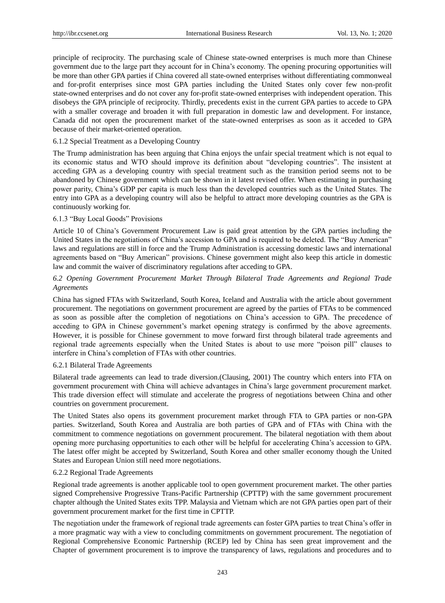principle of reciprocity. The purchasing scale of Chinese state-owned enterprises is much more than Chinese government due to the large part they account for in China's economy. The opening procuring opportunities will be more than other GPA parties if China covered all state-owned enterprises without differentiating commonweal and for-profit enterprises since most GPA parties including the United States only cover few non-profit state-owned enterprises and do not cover any for-profit state-owned enterprises with independent operation. This disobeys the GPA principle of reciprocity. Thirdly, precedents exist in the current GPA parties to accede to GPA with a smaller coverage and broaden it with full preparation in domestic law and development. For instance, Canada did not open the procurement market of the state-owned enterprises as soon as it acceded to GPA because of their market-oriented operation.

## 6.1.2 Special Treatment as a Developing Country

The Trump administration has been arguing that China enjoys the unfair special treatment which is not equal to its economic status and WTO should improve its definition about "developing countries". The insistent at acceding GPA as a developing country with special treatment such as the transition period seems not to be abandoned by Chinese government which can be shown in it latest revised offer. When estimating in purchasing power parity, China's GDP per capita is much less than the developed countries such as the United States. The entry into GPA as a developing country will also be helpful to attract more developing countries as the GPA is continuously working for.

## 6.1.3 "Buy Local Goods" Provisions

Article 10 of China's Government Procurement Law is paid great attention by the GPA parties including the United States in the negotiations of China's accession to GPA and is required to be deleted. The "Buy American" laws and regulations are still in force and the Trump Administration is accessing domestic laws and international agreements based on "Buy American" provisions. Chinese government might also keep this article in domestic law and commit the waiver of discriminatory regulations after acceding to GPA.

# *6.2 Opening Government Procurement Market Through Bilateral Trade Agreements and Regional Trade Agreements*

China has signed FTAs with Switzerland, South Korea, Iceland and Australia with the article about government procurement. The negotiations on government procurement are agreed by the parties of FTAs to be commenced as soon as possible after the completion of negotiations on China's accession to GPA. The precedence of acceding to GPA in Chinese government's market opening strategy is confirmed by the above agreements. However, it is possible for Chinese government to move forward first through bilateral trade agreements and regional trade agreements especially when the United States is about to use more "poison pill" clauses to interfere in China's completion of FTAs with other countries.

#### 6.2.1 Bilateral Trade Agreements

Bilateral trade agreements can lead to trade diversion.(Clausing, 2001) The country which enters into FTA on government procurement with China will achieve advantages in China's large government procurement market. This trade diversion effect will stimulate and accelerate the progress of negotiations between China and other countries on government procurement.

The United States also opens its government procurement market through FTA to GPA parties or non-GPA parties. Switzerland, South Korea and Australia are both parties of GPA and of FTAs with China with the commitment to commence negotiations on government procurement. The bilateral negotiation with them about opening more purchasing opportunities to each other will be helpful for accelerating China's accession to GPA. The latest offer might be accepted by Switzerland, South Korea and other smaller economy though the United States and European Union still need more negotiations.

## 6.2.2 Regional Trade Agreements

Regional trade agreements is another applicable tool to open government procurement market. The other parties signed Comprehensive Progressive Trans-Pacific Partnership (CPTTP) with the same government procurement chapter although the United States exits TPP. Malaysia and Vietnam which are not GPA parties open part of their government procurement market for the first time in CPTTP.

The negotiation under the framework of regional trade agreements can foster GPA parties to treat China's offer in a more pragmatic way with a view to concluding commitments on government procurement. The negotiation of Regional Comprehensive Economic Partnership (RCEP) led by China has seen great improvement and the Chapter of government procurement is to improve the transparency of laws, regulations and procedures and to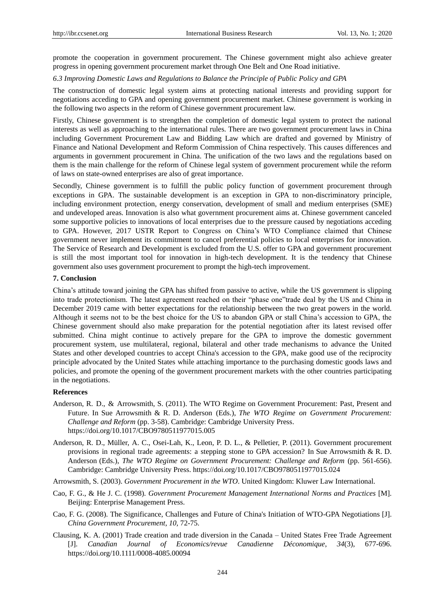promote the cooperation in government procurement. The Chinese government might also achieve greater progress in opening government procurement market through One Belt and One Road initiative.

#### *6.3 Improving Domestic Laws and Regulations to Balance the Principle of Public Policy and GPA*

The construction of domestic legal system aims at protecting national interests and providing support for negotiations acceding to GPA and opening government procurement market. Chinese government is working in the following two aspects in the reform of Chinese government procurement law.

Firstly, Chinese government is to strengthen the completion of domestic legal system to protect the national interests as well as approaching to the international rules. There are two government procurement laws in China including Government Procurement Law and Bidding Law which are drafted and governed by Ministry of Finance and National Development and Reform Commission of China respectively. This causes differences and arguments in government procurement in China. The unification of the two laws and the regulations based on them is the main challenge for the reform of Chinese legal system of government procurement while the reform of laws on state-owned enterprises are also of great importance.

Secondly, Chinese government is to fulfill the public policy function of government procurement through exceptions in GPA. The sustainable development is an exception in GPA to non-discriminatory principle, including environment protection, energy conservation, development of small and medium enterprises (SME) and undeveloped areas. Innovation is also what government procurement aims at. Chinese government canceled some supportive policies to innovations of local enterprises due to the pressure caused by negotiations acceding to GPA. However, 2017 USTR Report to Congress on China's WTO Compliance claimed that Chinese government never implement its commitment to cancel preferential policies to local enterprises for innovation. The Service of Research and Development is excluded from the U.S. offer to GPA and government procurement is still the most important tool for innovation in high-tech development. It is the tendency that Chinese government also uses government procurement to prompt the high-tech improvement.

### **7. Conclusion**

China's attitude toward joining the GPA has shifted from passive to active, while the US government is slipping into trade protectionism. The latest agreement reached on their "phase one"trade deal by the US and China in December 2019 came with better expectations for the relationship between the two great powers in the world. Although it seems not to be the best choice for the US to abandon GPA or stall China's accession to GPA, the Chinese government should also make preparation for the potential negotiation after its latest revised offer submitted. China might continue to actively prepare for the GPA to improve the domestic government procurement system, use multilateral, regional, bilateral and other trade mechanisms to advance the United States and other developed countries to accept China's accession to the GPA, make good use of the reciprocity principle advocated by the United States while attaching importance to the purchasing domestic goods laws and policies, and promote the opening of the government procurement markets with the other countries participating in the negotiations.

#### **References**

- Anderson, R. D., & Arrowsmith, S. (2011). The WTO Regime on Government Procurement: Past, Present and Future. In Sue Arrowsmith & R. D. Anderson (Eds.), *The WTO Regime on Government Procurement: Challenge and Reform* (pp. 3-58). Cambridge: Cambridge University Press. https://doi.org/10.1017/CBO9780511977015.005
- Anderson, R. D., Müller, A. C., Osei-Lah, K., Leon, P. D. L., & Pelletier, P. (2011). Government procurement provisions in regional trade agreements: a stepping stone to GPA accession? In Sue Arrowsmith & R. D. Anderson (Eds.), *The WTO Regime on Government Procurement: Challenge and Reform* (pp. 561-656). Cambridge: Cambridge University Press. https://doi.org/10.1017/CBO9780511977015.024
- Arrowsmith, S. (2003). *Government Procurement in the WTO*. United Kingdom: Kluwer Law International.
- Cao, F. G., & He J. C. (1998). *Government Procurement Management International Norms and Practices* [M]. Beijing: Enterprise Management Press.
- Cao, F. G. (2008). The Significance, Challenges and Future of China's Initiation of WTO-GPA Negotiations [J]. *China Government Procurement*, *10,* 72-75.
- Clausing, K. A. (2001) Trade creation and trade diversion in the Canada United States Free Trade Agreement [J]. *Canadian Journal of Economics/revue Canadienne Déconomique*, *34*(3), 677-696. https://doi.org/10.1111/0008-4085.00094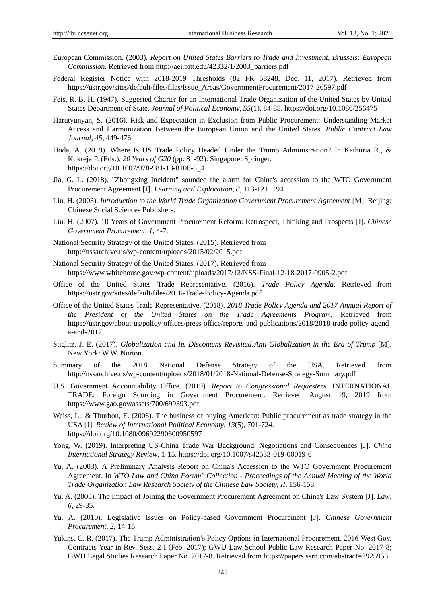- European Commission. (2003). *Report on United States Barriers to Trade and Investment, Brussels: European Commission.* Retrieved from http://aei.pitt.edu/42332/1/2003\_barriers.pdf
- Federal Register Notice with 2018-2019 Thresholds (82 FR 58248, Dec. 11, 2017). Retrieved from https://ustr.gov/sites/default/files/files/Issue\_Areas/GovernmentProcurement/2017-26597.pdf
- Feis, R. B. H. (1947). Suggested Charter for an International Trade Organization of the United States by United States Department of State. *Journal of Political Economy*, *55*(1), 84-85. https://doi.org/10.1086/256475
- Harutyunyan, S. (2016). Risk and Expectation in Exclusion from Public Procurement: Understanding Market Access and Harmonization Between the European Union and the United States. *Public Contract Law Journal*, *45,* 449-476.
- Hoda, A. (2019). Where Is US Trade Policy Headed Under the Trump Administration? In Kathuria R., & Kukreja P. (Eds.), *20 Years of G20* (pp. 81-92). Singapore: Springer. https://doi.org/10.1007/978-981-13-8106-5\_4
- Jia, G. L. (2018). "Zhongxing Incident" sounded the alarm for China's accession to the WTO Government Procurement Agreement [J]. *Learning and Exploration*, *8,* 113-121+194.
- Liu, H. (2003). *Introduction to the World Trade Organization Government Procurement Agreement* [M]. Beijing: Chinese Social Sciences Publishers.
- Liu, H. (2007). 10 Years of Government Procurement Reform: Retrospect, Thinking and Prospects [J]. *Chinese Government Procurement*, *1*, 4-7.
- National Security Strategy of the United States. (2015). Retrieved from http://nssarchive.us/wp-content/uploads/2015/02/2015.pdf
- National Security Strategy of the United States. (2017). Retrieved from https://www.whitehouse.gov/wp-content/uploads/2017/12/NSS-Final-12-18-2017-0905-2.pdf
- Office of the United States Trade Representative. (2016). *Trade Policy Agenda.* Retrieved from https://ustr.gov/sites/default/files/2016-Trade-Policy-Agenda.pdf
- Office of the United States Trade Representative. (2018). *2018 Trade Policy Agenda and 2017 Annual Report of the President of the United States on the Trade Agreements Program.* Retrieved from https://ustr.gov/about-us/policy-offices/press-office/reports-and-publications/2018/2018-trade-policy-agend a-and-2017
- Stiglitz, J. E. (2017). *Globalization and Its Discontens Revisited:Anti-Globalization in the Era of Trump* [M]. New York: W.W. Norton.
- Summary of the 2018 National Defense Strategy of the USA. Retrieved from http://nssarchive.us/wp-content/uploads/2018/01/2018-National-Defense-Strategy-Summary.pdf
- U.S. Government Accountability Office. (2019). *Report to Congressional Requesters.* INTERNATIONAL TRADE: Foreign Sourcing in Government Procurement. Retrieved August 19, 2019 from https://www.gao.gov/assets/700/699393.pdf
- Weiss, L., & Thurbon, E. (2006). The business of buying American: Public procurement as trade strategy in the USA [J]. *Review of International Political Economy*, *13*(5), 701-724. https://doi.org/10.1080/09692290600950597
- Yong, W. (2019). Interpreting US-China Trade War Background, Negotiations and Consequences [J]. *China International Strategy Review*, 1-15. https://doi.org/10.1007/s42533-019-00019-6
- Yu, A. (2003). A Preliminary Analysis Report on China's Accession to the WTO Government Procurement Agreement. In *WTO Law and China Forum" Collection - Proceedings of the Annual Meeting of the World Trade Organization Law Research Society of the Chinese Law Society, II*, 156-158.
- Yu, A. (2005). The Impact of Joining the Government Procurement Agreement on China's Law System [J]. *Law*, *6,* 29-35.
- Yu, A. (2010). Legislative Issues on Policy-based Government Procurement [J]. *Chinese Government Procurement*, *2*, 14-16.
- Yukins, C. R. (2017). The Trump Administration's Policy Options in International Procurement. 2016 West Gov. Contracts Year in Rev. Sess. 2-I (Feb. 2017); GWU Law School Public Law Research Paper No. 2017-8; GWU Legal Studies Research Paper No. 2017-8. Retrieved from https://papers.ssrn.com/abstract=2925953